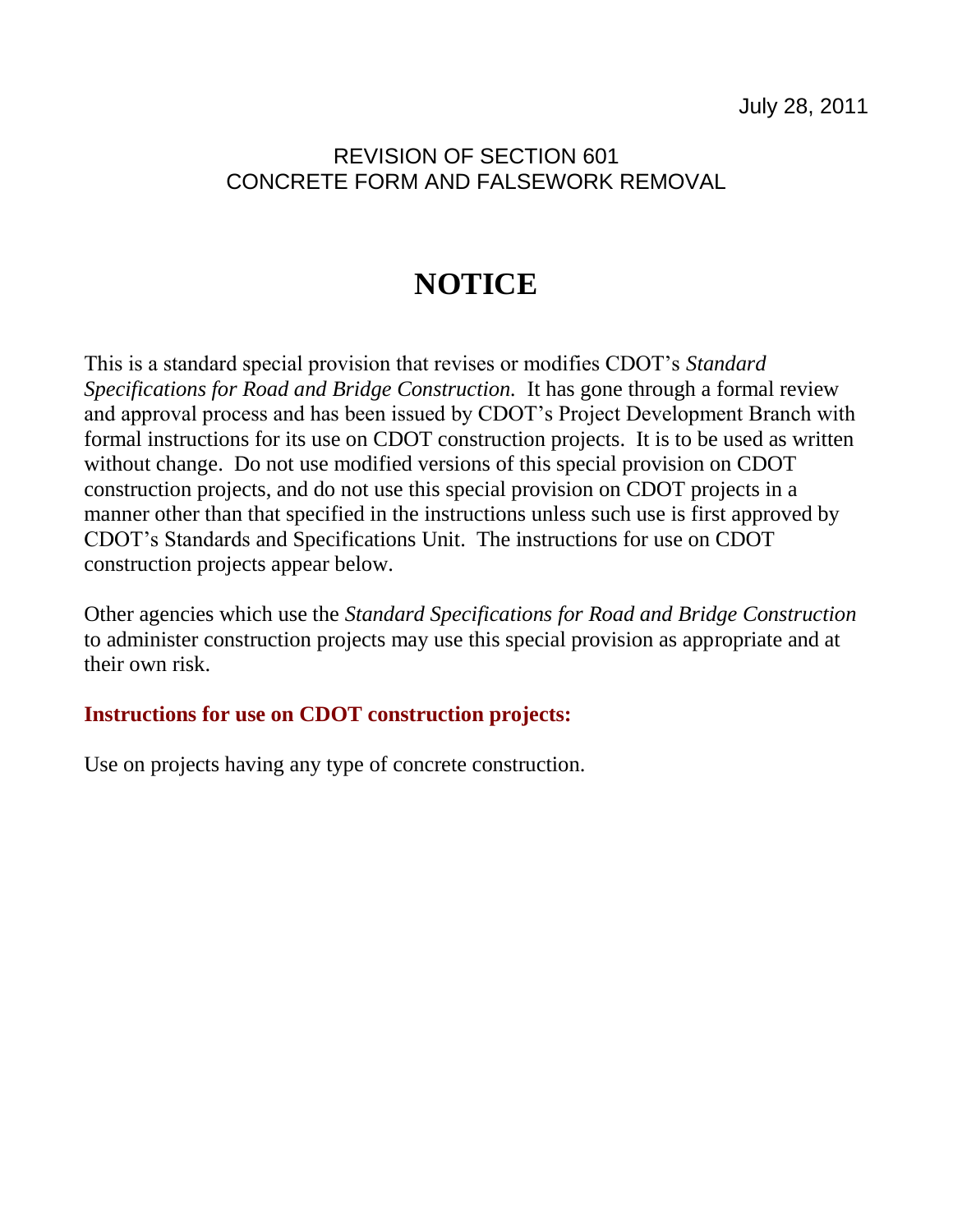## REVISION OF SECTION 601 CONCRETE FORM AND FALSEWORK REMOVAL

## **NOTICE**

This is a standard special provision that revises or modifies CDOT's *Standard Specifications for Road and Bridge Construction.* It has gone through a formal review and approval process and has been issued by CDOT's Project Development Branch with formal instructions for its use on CDOT construction projects. It is to be used as written without change. Do not use modified versions of this special provision on CDOT construction projects, and do not use this special provision on CDOT projects in a manner other than that specified in the instructions unless such use is first approved by CDOT's Standards and Specifications Unit. The instructions for use on CDOT construction projects appear below.

Other agencies which use the *Standard Specifications for Road and Bridge Construction* to administer construction projects may use this special provision as appropriate and at their own risk.

## **Instructions for use on CDOT construction projects:**

Use on projects having any type of concrete construction.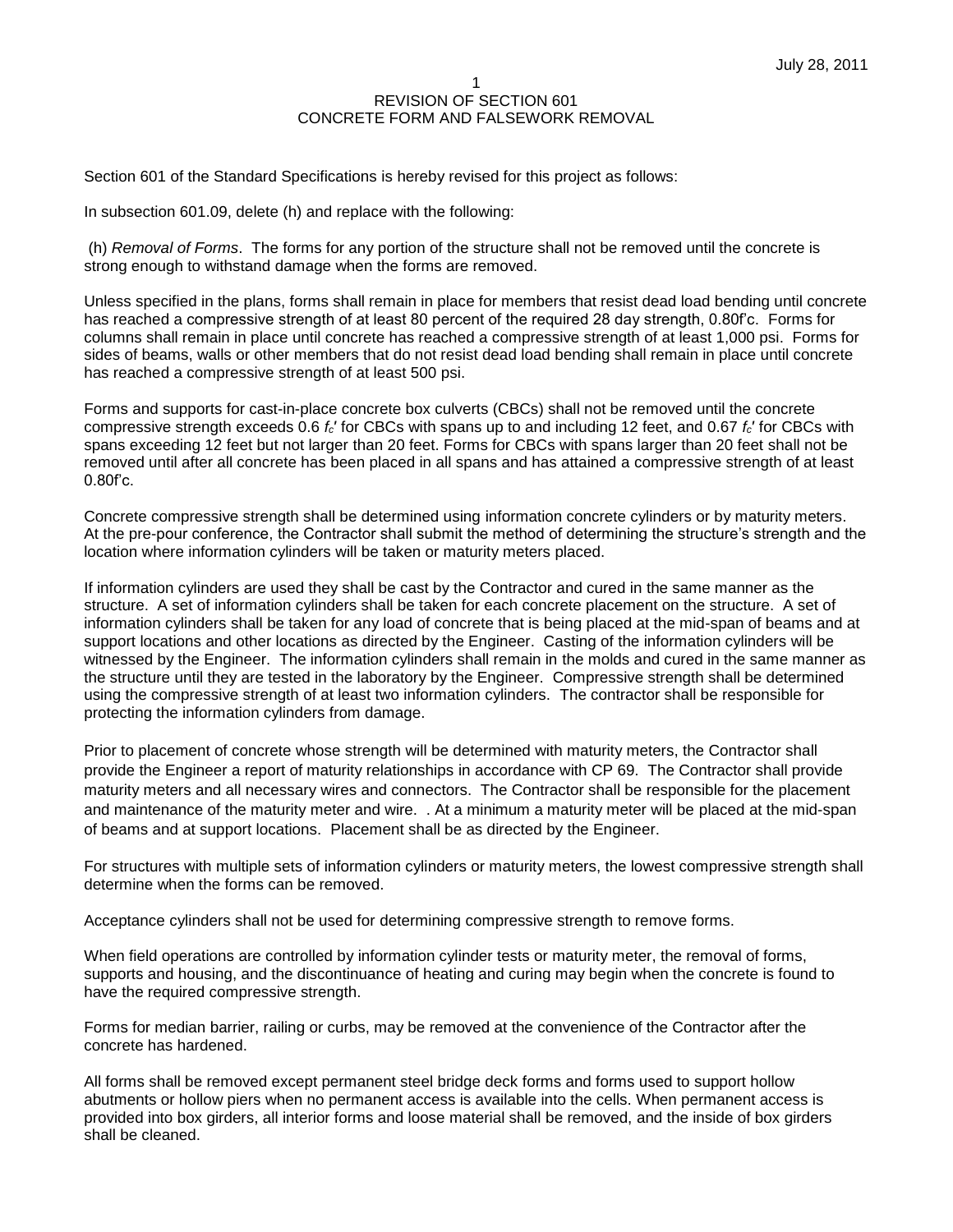Section 601 of the Standard Specifications is hereby revised for this project as follows:

In subsection 601.09, delete (h) and replace with the following:

(h) *Removal of Forms*. The forms for any portion of the structure shall not be removed until the concrete is strong enough to withstand damage when the forms are removed.

Unless specified in the plans, forms shall remain in place for members that resist dead load bending until concrete has reached a compressive strength of at least 80 percent of the required 28 day strength, 0.80f'c. Forms for columns shall remain in place until concrete has reached a compressive strength of at least 1,000 psi. Forms for sides of beams, walls or other members that do not resist dead load bending shall remain in place until concrete has reached a compressive strength of at least 500 psi.

Forms and supports for cast-in-place concrete box culverts (CBCs) shall not be removed until the concrete compressive strength exceeds 0.6 *fc*′ for CBCs with spans up to and including 12 feet, and 0.67 *fc*′ for CBCs with spans exceeding 12 feet but not larger than 20 feet. Forms for CBCs with spans larger than 20 feet shall not be removed until after all concrete has been placed in all spans and has attained a compressive strength of at least 0.80f'c.

Concrete compressive strength shall be determined using information concrete cylinders or by maturity meters. At the pre-pour conference, the Contractor shall submit the method of determining the structure's strength and the location where information cylinders will be taken or maturity meters placed.

If information cylinders are used they shall be cast by the Contractor and cured in the same manner as the structure. A set of information cylinders shall be taken for each concrete placement on the structure. A set of information cylinders shall be taken for any load of concrete that is being placed at the mid-span of beams and at support locations and other locations as directed by the Engineer. Casting of the information cylinders will be witnessed by the Engineer. The information cylinders shall remain in the molds and cured in the same manner as the structure until they are tested in the laboratory by the Engineer. Compressive strength shall be determined using the compressive strength of at least two information cylinders. The contractor shall be responsible for protecting the information cylinders from damage.

Prior to placement of concrete whose strength will be determined with maturity meters, the Contractor shall provide the Engineer a report of maturity relationships in accordance with CP 69. The Contractor shall provide maturity meters and all necessary wires and connectors. The Contractor shall be responsible for the placement and maintenance of the maturity meter and wire. . At a minimum a maturity meter will be placed at the mid-span of beams and at support locations. Placement shall be as directed by the Engineer.

For structures with multiple sets of information cylinders or maturity meters, the lowest compressive strength shall determine when the forms can be removed.

Acceptance cylinders shall not be used for determining compressive strength to remove forms.

When field operations are controlled by information cylinder tests or maturity meter, the removal of forms, supports and housing, and the discontinuance of heating and curing may begin when the concrete is found to have the required compressive strength.

Forms for median barrier, railing or curbs, may be removed at the convenience of the Contractor after the concrete has hardened.

All forms shall be removed except permanent steel bridge deck forms and forms used to support hollow abutments or hollow piers when no permanent access is available into the cells. When permanent access is provided into box girders, all interior forms and loose material shall be removed, and the inside of box girders shall be cleaned.